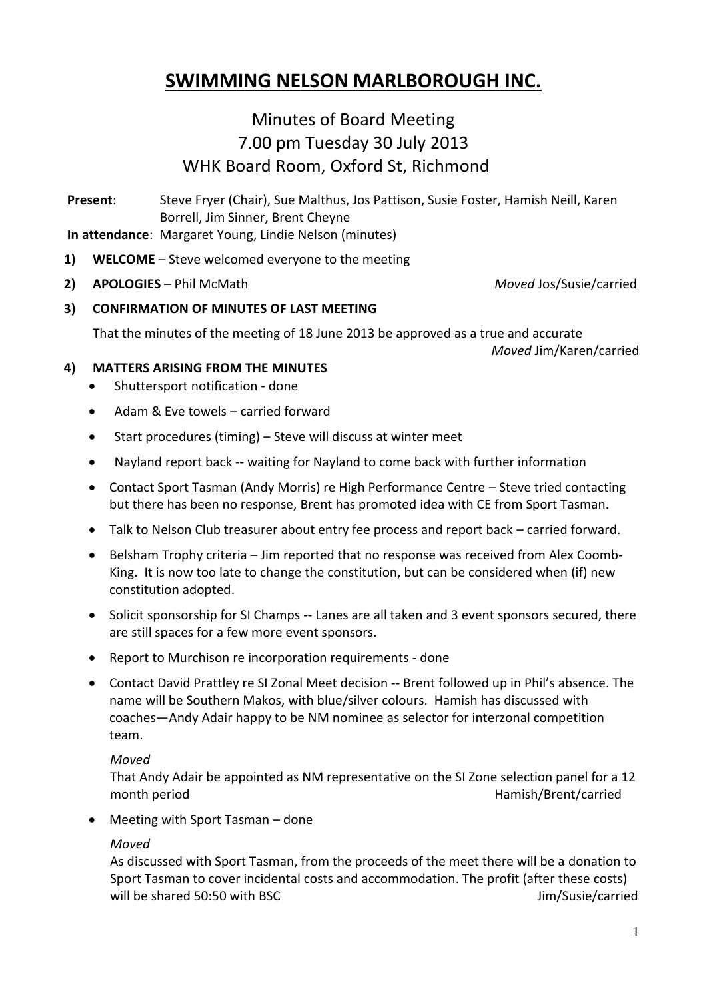# **SWIMMING NELSON MARLBOROUGH INC.**

## Minutes of Board Meeting 7.00 pm Tuesday 30 July 2013 WHK Board Room, Oxford St, Richmond

**Present**: Steve Fryer (Chair), Sue Malthus, Jos Pattison, Susie Foster, Hamish Neill, Karen Borrell, Jim Sinner, Brent Cheyne

- **In attendance**: Margaret Young, Lindie Nelson (minutes)
- **1) WELCOME** Steve welcomed everyone to the meeting
- **2) APOLOGIES** Phil McMath *Moved* Jos/Susie/carried

**3) CONFIRMATION OF MINUTES OF LAST MEETING**

That the minutes of the meeting of 18 June 2013 be approved as a true and accurate *Moved* Jim/Karen/carried

**4) MATTERS ARISING FROM THE MINUTES**

- Shuttersport notification done
- Adam & Fye towels carried forward
- Start procedures (timing) Steve will discuss at winter meet
- Nayland report back -- waiting for Nayland to come back with further information
- Contact Sport Tasman (Andy Morris) re High Performance Centre Steve tried contacting but there has been no response, Brent has promoted idea with CE from Sport Tasman.
- Talk to Nelson Club treasurer about entry fee process and report back carried forward.
- Belsham Trophy criteria Jim reported that no response was received from Alex Coomb-King. It is now too late to change the constitution, but can be considered when (if) new constitution adopted.
- Solicit sponsorship for SI Champs -- Lanes are all taken and 3 event sponsors secured, there are still spaces for a few more event sponsors.
- Report to Murchison re incorporation requirements done
- Contact David Prattley re SI Zonal Meet decision -- Brent followed up in Phil's absence. The name will be Southern Makos, with blue/silver colours. Hamish has discussed with coaches—Andy Adair happy to be NM nominee as selector for interzonal competition team.

#### *Moved*

That Andy Adair be appointed as NM representative on the SI Zone selection panel for a 12 month period Hamish/Brent/carried

Meeting with Sport Tasman – done

#### *Moved*

As discussed with Sport Tasman, from the proceeds of the meet there will be a donation to Sport Tasman to cover incidental costs and accommodation. The profit (after these costs) will be shared 50:50 with BSC **Jim/Susie/carried**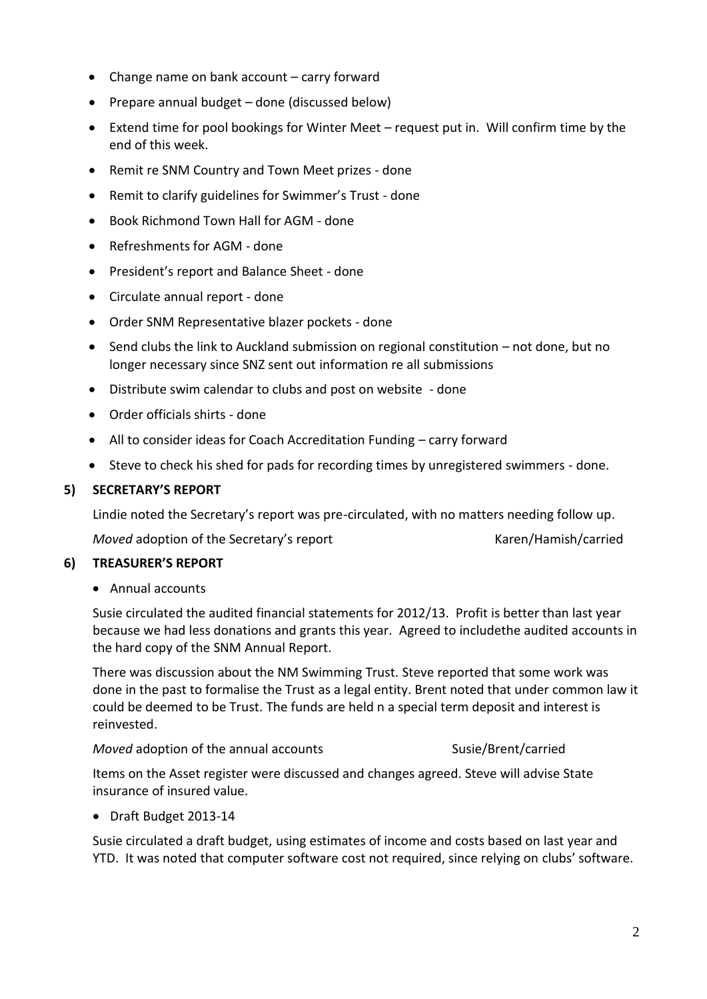- Change name on bank account carry forward
- Prepare annual budget done (discussed below)
- Extend time for pool bookings for Winter Meet request put in. Will confirm time by the end of this week.
- Remit re SNM Country and Town Meet prizes done
- Remit to clarify guidelines for Swimmer's Trust done
- Book Richmond Town Hall for AGM done
- Refreshments for AGM done
- President's report and Balance Sheet done
- Circulate annual report done
- Order SNM Representative blazer pockets done
- Send clubs the link to Auckland submission on regional constitution not done, but no longer necessary since SNZ sent out information re all submissions
- Distribute swim calendar to clubs and post on website done
- Order officials shirts done
- All to consider ideas for Coach Accreditation Funding carry forward
- Steve to check his shed for pads for recording times by unregistered swimmers done.

## **5) SECRETARY'S REPORT**

Lindie noted the Secretary's report was pre-circulated, with no matters needing follow up.

*Moved* adoption of the Secretary's report Karen/Hamish/carried

#### **6) TREASURER'S REPORT**

Annual accounts

Susie circulated the audited financial statements for 2012/13. Profit is better than last year because we had less donations and grants this year. Agreed to includethe audited accounts in the hard copy of the SNM Annual Report.

There was discussion about the NM Swimming Trust. Steve reported that some work was done in the past to formalise the Trust as a legal entity. Brent noted that under common law it could be deemed to be Trust. The funds are held n a special term deposit and interest is reinvested.

*Moved* adoption of the annual accounts Susie/Brent/carried

Items on the Asset register were discussed and changes agreed. Steve will advise State insurance of insured value.

Draft Budget 2013-14

Susie circulated a draft budget, using estimates of income and costs based on last year and YTD. It was noted that computer software cost not required, since relying on clubs' software.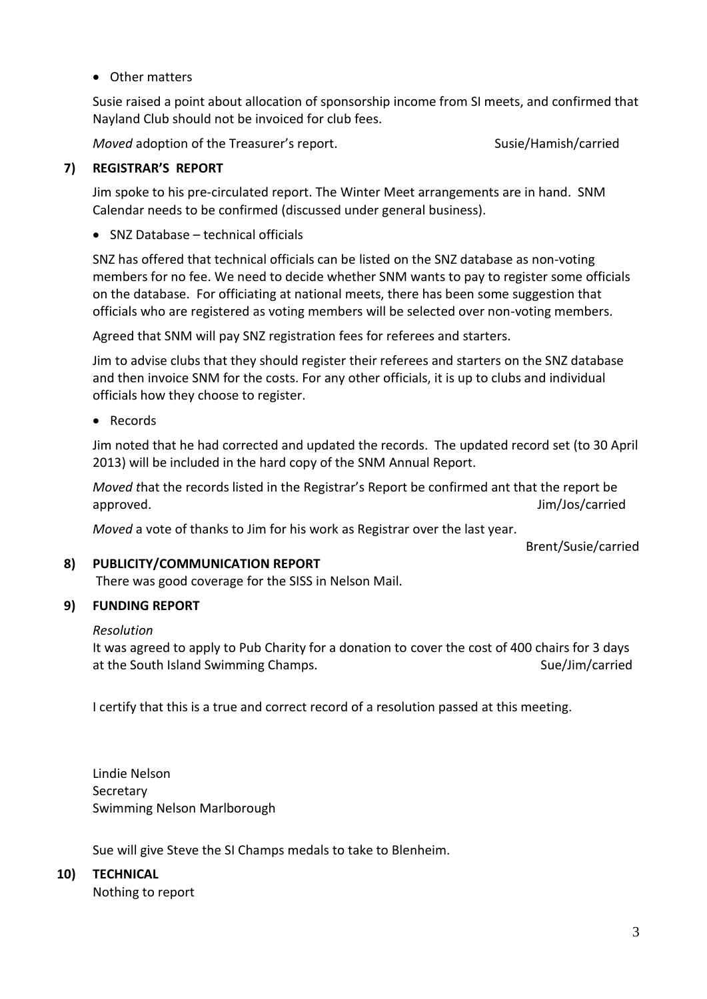Other matters

Susie raised a point about allocation of sponsorship income from SI meets, and confirmed that Nayland Club should not be invoiced for club fees.

*Moved* adoption of the Treasurer's report. Susie/Hamish/carried

## **7) REGISTRAR'S REPORT**

Jim spoke to his pre-circulated report. The Winter Meet arrangements are in hand. SNM Calendar needs to be confirmed (discussed under general business).

SNZ Database – technical officials

SNZ has offered that technical officials can be listed on the SNZ database as non-voting members for no fee. We need to decide whether SNM wants to pay to register some officials on the database. For officiating at national meets, there has been some suggestion that officials who are registered as voting members will be selected over non-voting members.

Agreed that SNM will pay SNZ registration fees for referees and starters.

Jim to advise clubs that they should register their referees and starters on the SNZ database and then invoice SNM for the costs. For any other officials, it is up to clubs and individual officials how they choose to register.

• Records

Jim noted that he had corrected and updated the records. The updated record set (to 30 April 2013) will be included in the hard copy of the SNM Annual Report.

*Moved t*hat the records listed in the Registrar's Report be confirmed ant that the report be approved. Jim/Jos/carried

*Moved* a vote of thanks to Jim for his work as Registrar over the last year.

Brent/Susie/carried

## **8) PUBLICITY/COMMUNICATION REPORT**

There was good coverage for the SISS in Nelson Mail.

## **9) FUNDING REPORT**

#### *Resolution*

It was agreed to apply to Pub Charity for a donation to cover the cost of 400 chairs for 3 days at the South Island Swimming Champs. The Sue of the South Island Swimming Champs.

I certify that this is a true and correct record of a resolution passed at this meeting.

Lindie Nelson Secretary Swimming Nelson Marlborough

Sue will give Steve the SI Champs medals to take to Blenheim.

## **10) TECHNICAL**

Nothing to report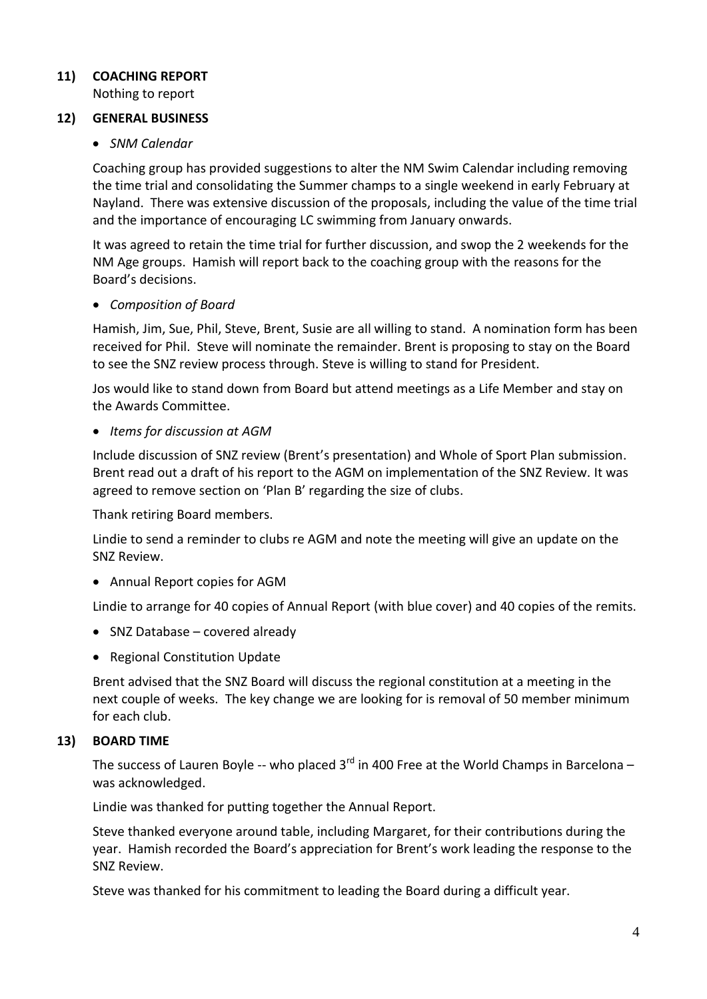## **11) COACHING REPORT**

Nothing to report

## **12) GENERAL BUSINESS**

## *SNM Calendar*

Coaching group has provided suggestions to alter the NM Swim Calendar including removing the time trial and consolidating the Summer champs to a single weekend in early February at Nayland. There was extensive discussion of the proposals, including the value of the time trial and the importance of encouraging LC swimming from January onwards.

It was agreed to retain the time trial for further discussion, and swop the 2 weekends for the NM Age groups. Hamish will report back to the coaching group with the reasons for the Board's decisions.

## *Composition of Board*

Hamish, Jim, Sue, Phil, Steve, Brent, Susie are all willing to stand. A nomination form has been received for Phil. Steve will nominate the remainder. Brent is proposing to stay on the Board to see the SNZ review process through. Steve is willing to stand for President.

Jos would like to stand down from Board but attend meetings as a Life Member and stay on the Awards Committee.

## *Items for discussion at AGM*

Include discussion of SNZ review (Brent's presentation) and Whole of Sport Plan submission. Brent read out a draft of his report to the AGM on implementation of the SNZ Review. It was agreed to remove section on 'Plan B' regarding the size of clubs.

Thank retiring Board members.

Lindie to send a reminder to clubs re AGM and note the meeting will give an update on the SNZ Review.

Annual Report copies for AGM

Lindie to arrange for 40 copies of Annual Report (with blue cover) and 40 copies of the remits.

- SNZ Database covered already
- Regional Constitution Update

Brent advised that the SNZ Board will discuss the regional constitution at a meeting in the next couple of weeks. The key change we are looking for is removal of 50 member minimum for each club.

## **13) BOARD TIME**

The success of Lauren Boyle -- who placed 3<sup>rd</sup> in 400 Free at the World Champs in Barcelona – was acknowledged.

Lindie was thanked for putting together the Annual Report.

Steve thanked everyone around table, including Margaret, for their contributions during the year. Hamish recorded the Board's appreciation for Brent's work leading the response to the SNZ Review.

Steve was thanked for his commitment to leading the Board during a difficult year.